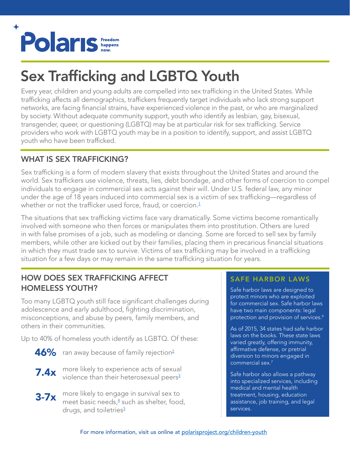

# Sex Trafficking and LGBTQ Youth

Every year, children and young adults are compelled into sex trafficking in the United States. While trafficking affects all demographics, traffickers frequently target individuals who lack strong support networks, are facing financial strains, have experienced violence in the past, or who are marginalized by society. Without adequate community support, youth who identify as lesbian, gay, bisexual, transgender, queer, or questioning (LGBTQ) may be at particular risk for sex trafficking. Service providers who work with LGBTQ youth may be in a position to identify, support, and assist LGBTQ youth who have been trafficked.

# WHAT IS SEX TRAFFICKING?

Sex trafficking is a form of modern slavery that exists throughout the United States and around the world. Sex traffickers use violence, threats, lies, debt bondage, and other forms of coercion to compel individuals to engage in commercial sex acts against their will. Under U.S. federal law, any minor under the age of 18 years induced into commercial sex is a victim of sex trafficking—regardless of whether or not the trafficker used force, fraud, or coercion. [1](https://www.law.cornell.edu/uscode/text/22/chapter-78)

The situations that sex trafficking victims face vary dramatically. Some victims become romantically involved with someone who then forces or manipulates them into prostitution. Others are lured in with false promises of a job, such as modeling or dancing. Some are forced to sell sex by family members, while other are kicked out by their families, placing them in precarious financial situations in which they must trade sex to survive. Victims of sex trafficking may be involved in a trafficking situation for a few days or may remain in the same trafficking situation for years.

# HOW DOES SEX TRAFFICKING AFFECT HOMELESS YOUTH?

Too many LGBTQ youth still face significant challenges during adolescence and early adulthood, fighting discrimination, misconceptions, and abuse by peers, family members, and others in their communities.

Up to 40% of homeless youth identify as LGBTQ. Of these:

- $\mathbf{46\%}\;$  ran away because of family rejection $^2$  $^2$
- **7.4x** more likely to experience acts of sexual<br>violence than their heterosexual peers<sup>3</sup> violence than their heterosexual peers<sup>3</sup>
- $3-7x$  more likely to engage in survival sex to<br> $3-7x$  meet basic needs  $\frac{4}{3}$  such as shelter food meet basic needs,<sup>[4](http://cahomelessyouth.library.ca.gov/docs/pdf/StrugglingToSurviveFinal.pdf)</sup> such as shelter, food, drugs, and toiletries<sup>[5](https://traffickingresourcecenter.org/sites/default/files/Homelessness,%20Survival%20Sex,%20and%20Human%20Trafficking%20-%20Covenant%20House%20NY.pdf)</sup>

#### SAFE HARBOR LAWS

Safe harbor laws are designed to protect minors who are exploited for commercial sex. Safe harbor laws have two main components: legal protection and provision of services.<sup>[6](https://polarisproject.org/sites/default/files/2015%20Safe%20Harbor%20Issue%20Brief.pdf)</sup>

As of 2015, 34 states had safe harbor laws on the books. These state laws varied greatly, offering immunity, affirmative defense, or pretrial diversion to minors engaged in commercial sex.[7](http://www.ncsl.org/research/civil-and-criminal-justice/human-trafficking-overview.aspx)

Safe harbor also allows a pathway into specialized services, including medical and mental health treatment, housing, education assistance, job training, and legal services.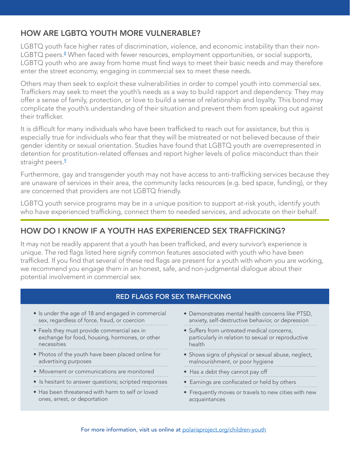### HOW ARE LGBTQ YOUTH MORE VULNERABLE?

LGBTQ youth face higher rates of discrimination, violence, and economic instability than their non-LGBTQ peers.<sup>[8](https://www.americanprogress.org/issues/lgbt/news/2013/05/29/64583/3-barriers-that-stand-between-lgbt-youth-and-healthier-futures/)</sup> When faced with fewer resources, employment opportunities, or social supports, LGBTQ youth who are away from home must find ways to meet their basic needs and may therefore enter the street economy, engaging in commercial sex to meet these needs.

Others may then seek to exploit these vulnerabilities in order to compel youth into commercial sex. Traffickers may seek to meet the youth's needs as a way to build rapport and dependency. They may offer a sense of family, protection, or love to build a sense of relationship and loyalty. This bond may complicate the youth's understanding of their situation and prevent them from speaking out against their trafficker.

It is difficult for many individuals who have been trafficked to reach out for assistance, but this is especially true for individuals who fear that they will be mistreated or not believed because of their gender identity or sexual orientation. Studies have found that LGBTQ youth are overrepresented in detention for prostitution-related offenses and report higher levels of police misconduct than their straight peers.<sup>2</sup>

Furthermore, gay and transgender youth may not have access to anti-trafficking services because they are unaware of services in their area, the community lacks resources (e.g. bed space, funding), or they are concerned that providers are not LGBTQ friendly.

LGBTQ youth service programs may be in a unique position to support at-risk youth, identify youth who have experienced trafficking, connect them to needed services, and advocate on their behalf.

## HOW DO I KNOW IF A YOUTH HAS EXPERIENCED SEX TRAFFICKING?

It may not be readily apparent that a youth has been trafficked, and every survivor's experience is unique. The red flags listed here signify common features associated with youth who have been trafficked. If you find that several of these red flags are present for a youth with whom you are working, we recommend you engage them in an honest, safe, and non-judgmental dialogue about their potential involvement in commercial sex.

#### RED FLAGS FOR SEX TRAFFICKING

- Is under the age of 18 and engaged in commercial sex, regardless of force, fraud, or coercion
- Feels they must provide commercial sex in exchange for food, housing, hormones, or other necessities
- • Photos of the youth have been placed online for advertising purposes
- 
- Movement or communications are monitored
- Is hesitant to answer questions; scripted responses
- Has been threatened with harm to self or loved ones, arrest, or deportation
- Demonstrates mental health concerns like PTSD, anxiety, self-destructive behavior, or depression
- Suffers from untreated medical concerns, particularly in relation to sexual or reproductive health
- • Shows signs of physical or sexual abuse, neglect, malnourishment, or poor hygiene
- Has a debt they cannot pay off
- Earnings are confiscated or held by others
- Frequently moves or travels to new cities with new acquaintances